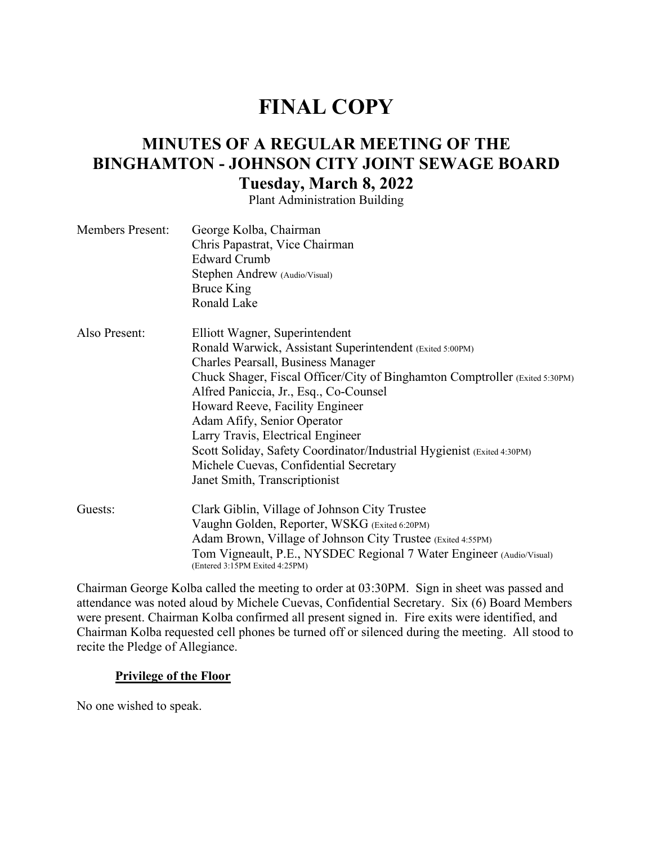# **FINAL COPY**

# **MINUTES OF A REGULAR MEETING OF THE BINGHAMTON - JOHNSON CITY JOINT SEWAGE BOARD Tuesday, March 8, 2022**

Plant Administration Building

| <b>Members Present:</b> | George Kolba, Chairman<br>Chris Papastrat, Vice Chairman<br><b>Edward Crumb</b><br>Stephen Andrew (Audio/Visual)<br><b>Bruce King</b><br>Ronald Lake                                                                                                                                                                                                                                                                                                                                                                  |
|-------------------------|-----------------------------------------------------------------------------------------------------------------------------------------------------------------------------------------------------------------------------------------------------------------------------------------------------------------------------------------------------------------------------------------------------------------------------------------------------------------------------------------------------------------------|
| Also Present:           | Elliott Wagner, Superintendent<br>Ronald Warwick, Assistant Superintendent (Exited 5:00PM)<br>Charles Pearsall, Business Manager<br>Chuck Shager, Fiscal Officer/City of Binghamton Comptroller (Exited 5:30PM)<br>Alfred Paniccia, Jr., Esq., Co-Counsel<br>Howard Reeve, Facility Engineer<br>Adam Afify, Senior Operator<br>Larry Travis, Electrical Engineer<br>Scott Soliday, Safety Coordinator/Industrial Hygienist (Exited 4:30PM)<br>Michele Cuevas, Confidential Secretary<br>Janet Smith, Transcriptionist |
| Guests:                 | Clark Giblin, Village of Johnson City Trustee<br>Vaughn Golden, Reporter, WSKG (Exited 6:20PM)<br>Adam Brown, Village of Johnson City Trustee (Exited 4:55PM)<br>Tom Vigneault, P.E., NYSDEC Regional 7 Water Engineer (Audio/Visual)<br>(Entered 3:15PM Exited 4:25PM)                                                                                                                                                                                                                                               |

Chairman George Kolba called the meeting to order at 03:30PM. Sign in sheet was passed and attendance was noted aloud by Michele Cuevas, Confidential Secretary. Six (6) Board Members were present. Chairman Kolba confirmed all present signed in. Fire exits were identified, and Chairman Kolba requested cell phones be turned off or silenced during the meeting. All stood to recite the Pledge of Allegiance.

#### **Privilege of the Floor**

No one wished to speak.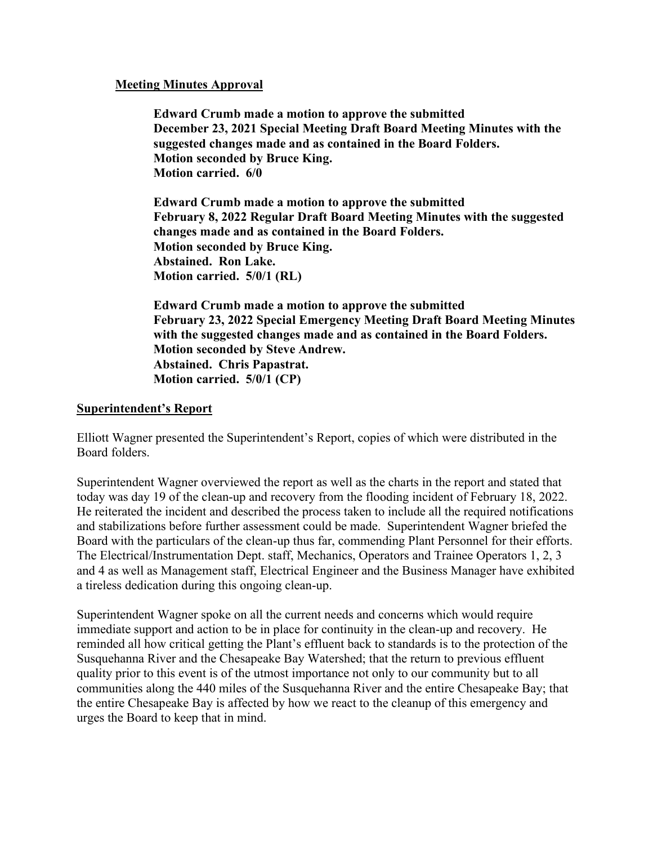## **Meeting Minutes Approval**

**Edward Crumb made a motion to approve the submitted December 23, 2021 Special Meeting Draft Board Meeting Minutes with the suggested changes made and as contained in the Board Folders. Motion seconded by Bruce King. Motion carried. 6/0**

**Edward Crumb made a motion to approve the submitted February 8, 2022 Regular Draft Board Meeting Minutes with the suggested changes made and as contained in the Board Folders. Motion seconded by Bruce King. Abstained. Ron Lake. Motion carried. 5/0/1 (RL)**

**Edward Crumb made a motion to approve the submitted February 23, 2022 Special Emergency Meeting Draft Board Meeting Minutes with the suggested changes made and as contained in the Board Folders. Motion seconded by Steve Andrew. Abstained. Chris Papastrat. Motion carried. 5/0/1 (CP)**

## **Superintendent's Report**

Elliott Wagner presented the Superintendent's Report, copies of which were distributed in the Board folders.

Superintendent Wagner overviewed the report as well as the charts in the report and stated that today was day 19 of the clean-up and recovery from the flooding incident of February 18, 2022. He reiterated the incident and described the process taken to include all the required notifications and stabilizations before further assessment could be made. Superintendent Wagner briefed the Board with the particulars of the clean-up thus far, commending Plant Personnel for their efforts. The Electrical/Instrumentation Dept. staff, Mechanics, Operators and Trainee Operators 1, 2, 3 and 4 as well as Management staff, Electrical Engineer and the Business Manager have exhibited a tireless dedication during this ongoing clean-up.

Superintendent Wagner spoke on all the current needs and concerns which would require immediate support and action to be in place for continuity in the clean-up and recovery. He reminded all how critical getting the Plant's effluent back to standards is to the protection of the Susquehanna River and the Chesapeake Bay Watershed; that the return to previous effluent quality prior to this event is of the utmost importance not only to our community but to all communities along the 440 miles of the Susquehanna River and the entire Chesapeake Bay; that the entire Chesapeake Bay is affected by how we react to the cleanup of this emergency and urges the Board to keep that in mind.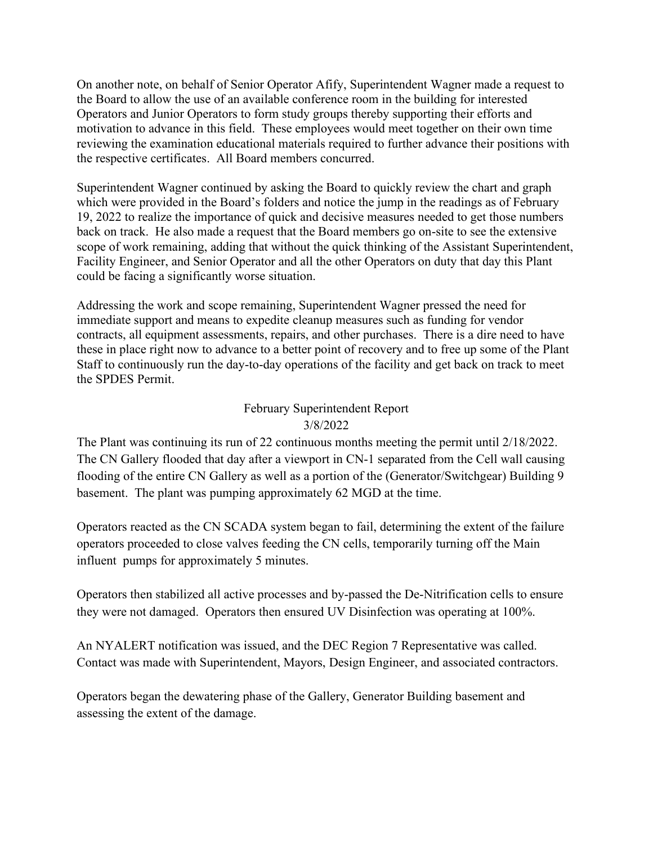On another note, on behalf of Senior Operator Afify, Superintendent Wagner made a request to the Board to allow the use of an available conference room in the building for interested Operators and Junior Operators to form study groups thereby supporting their efforts and motivation to advance in this field. These employees would meet together on their own time reviewing the examination educational materials required to further advance their positions with the respective certificates. All Board members concurred.

Superintendent Wagner continued by asking the Board to quickly review the chart and graph which were provided in the Board's folders and notice the jump in the readings as of February 19, 2022 to realize the importance of quick and decisive measures needed to get those numbers back on track. He also made a request that the Board members go on-site to see the extensive scope of work remaining, adding that without the quick thinking of the Assistant Superintendent, Facility Engineer, and Senior Operator and all the other Operators on duty that day this Plant could be facing a significantly worse situation.

Addressing the work and scope remaining, Superintendent Wagner pressed the need for immediate support and means to expedite cleanup measures such as funding for vendor contracts, all equipment assessments, repairs, and other purchases. There is a dire need to have these in place right now to advance to a better point of recovery and to free up some of the Plant Staff to continuously run the day-to-day operations of the facility and get back on track to meet the SPDES Permit.

# February Superintendent Report 3/8/2022

The Plant was continuing its run of 22 continuous months meeting the permit until 2/18/2022. The CN Gallery flooded that day after a viewport in CN-1 separated from the Cell wall causing flooding of the entire CN Gallery as well as a portion of the (Generator/Switchgear) Building 9 basement. The plant was pumping approximately 62 MGD at the time.

Operators reacted as the CN SCADA system began to fail, determining the extent of the failure operators proceeded to close valves feeding the CN cells, temporarily turning off the Main influent pumps for approximately 5 minutes.

Operators then stabilized all active processes and by-passed the De-Nitrification cells to ensure they were not damaged. Operators then ensured UV Disinfection was operating at 100%.

An NYALERT notification was issued, and the DEC Region 7 Representative was called. Contact was made with Superintendent, Mayors, Design Engineer, and associated contractors.

Operators began the dewatering phase of the Gallery, Generator Building basement and assessing the extent of the damage.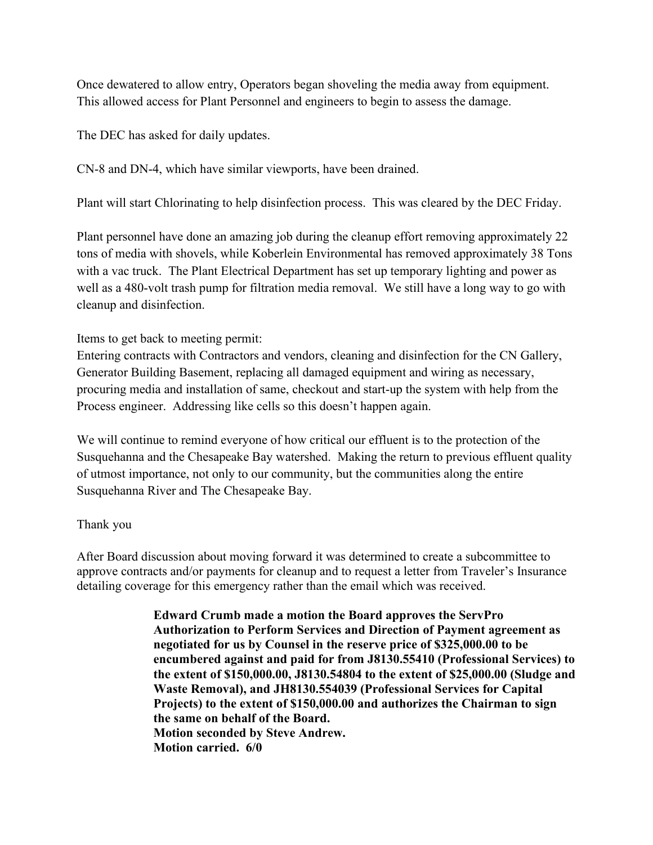Once dewatered to allow entry, Operators began shoveling the media away from equipment. This allowed access for Plant Personnel and engineers to begin to assess the damage.

The DEC has asked for daily updates.

CN-8 and DN-4, which have similar viewports, have been drained.

Plant will start Chlorinating to help disinfection process. This was cleared by the DEC Friday.

Plant personnel have done an amazing job during the cleanup effort removing approximately 22 tons of media with shovels, while Koberlein Environmental has removed approximately 38 Tons with a vac truck. The Plant Electrical Department has set up temporary lighting and power as well as a 480-volt trash pump for filtration media removal. We still have a long way to go with cleanup and disinfection.

Items to get back to meeting permit:

Entering contracts with Contractors and vendors, cleaning and disinfection for the CN Gallery, Generator Building Basement, replacing all damaged equipment and wiring as necessary, procuring media and installation of same, checkout and start-up the system with help from the Process engineer. Addressing like cells so this doesn't happen again.

We will continue to remind everyone of how critical our effluent is to the protection of the Susquehanna and the Chesapeake Bay watershed. Making the return to previous effluent quality of utmost importance, not only to our community, but the communities along the entire Susquehanna River and The Chesapeake Bay.

# Thank you

After Board discussion about moving forward it was determined to create a subcommittee to approve contracts and/or payments for cleanup and to request a letter from Traveler's Insurance detailing coverage for this emergency rather than the email which was received.

> **Edward Crumb made a motion the Board approves the ServPro Authorization to Perform Services and Direction of Payment agreement as negotiated for us by Counsel in the reserve price of \$325,000.00 to be encumbered against and paid for from J8130.55410 (Professional Services) to the extent of \$150,000.00, J8130.54804 to the extent of \$25,000.00 (Sludge and Waste Removal), and JH8130.554039 (Professional Services for Capital Projects) to the extent of \$150,000.00 and authorizes the Chairman to sign the same on behalf of the Board. Motion seconded by Steve Andrew. Motion carried. 6/0**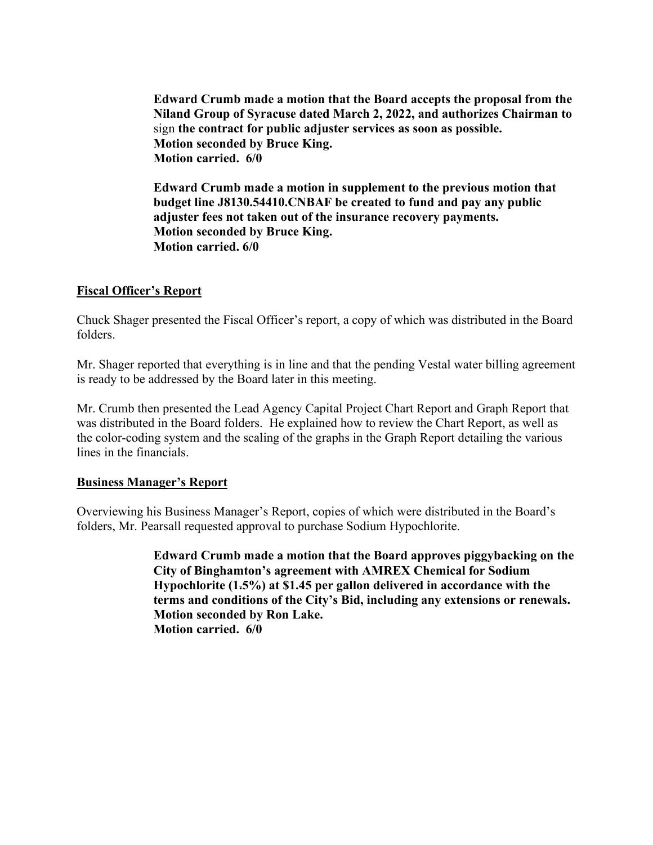**Edward Crumb made a motion that the Board accepts the proposal from the Niland Group of Syracuse dated March 2, 2022, and authorizes Chairman to**  sign **the contract for public adjuster services as soon as possible. Motion seconded by Bruce King. Motion carried. 6/0** 

**Edward Crumb made a motion in supplement to the previous motion that budget line J8130.54410.CNBAF be created to fund and pay any public adjuster fees not taken out of the insurance recovery payments. Motion seconded by Bruce King. Motion carried. 6/0** 

# **Fiscal Officer's Report**

Chuck Shager presented the Fiscal Officer's report, a copy of which was distributed in the Board folders.

Mr. Shager reported that everything is in line and that the pending Vestal water billing agreement is ready to be addressed by the Board later in this meeting.

Mr. Crumb then presented the Lead Agency Capital Project Chart Report and Graph Report that was distributed in the Board folders. He explained how to review the Chart Report, as well as the color-coding system and the scaling of the graphs in the Graph Report detailing the various lines in the financials.

#### **Business Manager's Report**

Overviewing his Business Manager's Report, copies of which were distributed in the Board's folders, Mr. Pearsall requested approval to purchase Sodium Hypochlorite.

> **Edward Crumb made a motion that the Board approves piggybacking on the City of Binghamton's agreement with AMREX Chemical for Sodium Hypochlorite (1.5%) at \$1.45 per gallon delivered in accordance with the terms and conditions of the City's Bid, including any extensions or renewals. Motion seconded by Ron Lake. Motion carried. 6/0**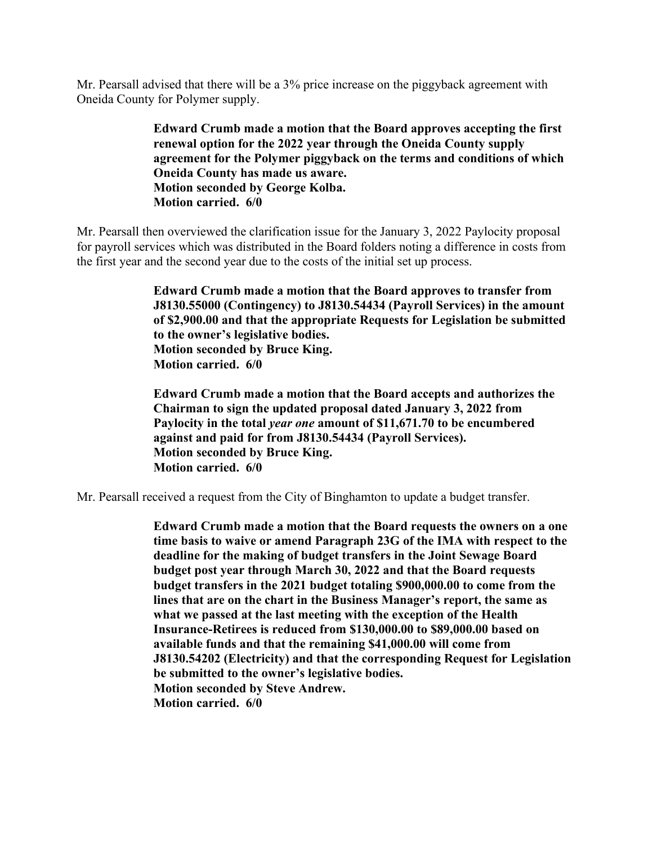Mr. Pearsall advised that there will be a 3% price increase on the piggyback agreement with Oneida County for Polymer supply.

> **Edward Crumb made a motion that the Board approves accepting the first renewal option for the 2022 year through the Oneida County supply agreement for the Polymer piggyback on the terms and conditions of which Oneida County has made us aware. Motion seconded by George Kolba. Motion carried. 6/0**

Mr. Pearsall then overviewed the clarification issue for the January 3, 2022 Paylocity proposal for payroll services which was distributed in the Board folders noting a difference in costs from the first year and the second year due to the costs of the initial set up process.

> **Edward Crumb made a motion that the Board approves to transfer from J8130.55000 (Contingency) to J8130.54434 (Payroll Services) in the amount of \$2,900.00 and that the appropriate Requests for Legislation be submitted to the owner's legislative bodies. Motion seconded by Bruce King. Motion carried. 6/0**

**Edward Crumb made a motion that the Board accepts and authorizes the Chairman to sign the updated proposal dated January 3, 2022 from Paylocity in the total** *year one* **amount of \$11,671.70 to be encumbered against and paid for from J8130.54434 (Payroll Services). Motion seconded by Bruce King. Motion carried. 6/0**

Mr. Pearsall received a request from the City of Binghamton to update a budget transfer.

**Edward Crumb made a motion that the Board requests the owners on a one time basis to waive or amend Paragraph 23G of the IMA with respect to the deadline for the making of budget transfers in the Joint Sewage Board budget post year through March 30, 2022 and that the Board requests budget transfers in the 2021 budget totaling \$900,000.00 to come from the lines that are on the chart in the Business Manager's report, the same as what we passed at the last meeting with the exception of the Health Insurance-Retirees is reduced from \$130,000.00 to \$89,000.00 based on available funds and that the remaining \$41,000.00 will come from J8130.54202 (Electricity) and that the corresponding Request for Legislation be submitted to the owner's legislative bodies. Motion seconded by Steve Andrew. Motion carried. 6/0**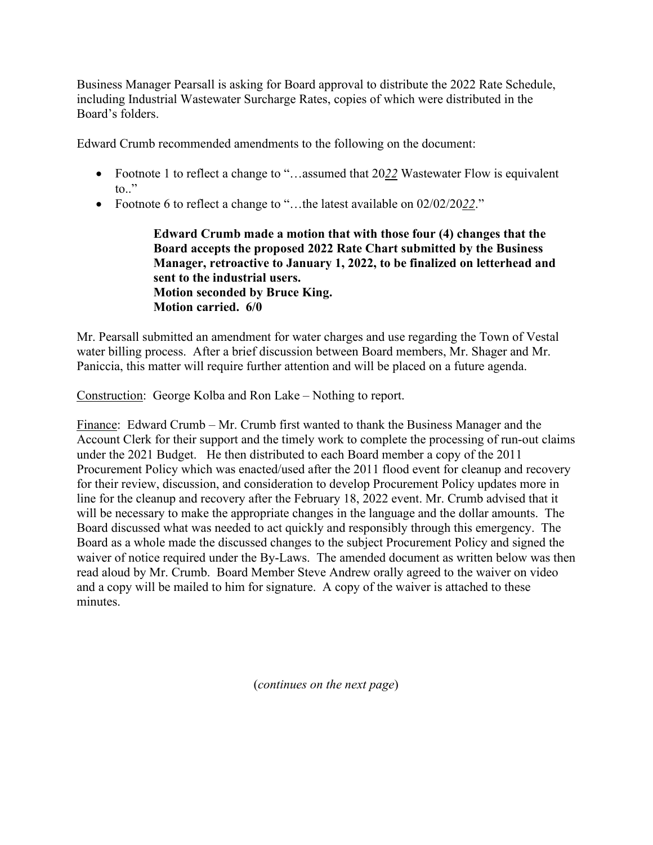Business Manager Pearsall is asking for Board approval to distribute the 2022 Rate Schedule, including Industrial Wastewater Surcharge Rates, copies of which were distributed in the Board's folders.

Edward Crumb recommended amendments to the following on the document:

- Footnote 1 to reflect a change to "...assumed that 2022 Wastewater Flow is equivalent to.."
- Footnote 6 to reflect a change to "…the latest available on 02/02/20*22*."

**Edward Crumb made a motion that with those four (4) changes that the Board accepts the proposed 2022 Rate Chart submitted by the Business Manager, retroactive to January 1, 2022, to be finalized on letterhead and sent to the industrial users. Motion seconded by Bruce King. Motion carried. 6/0** 

Mr. Pearsall submitted an amendment for water charges and use regarding the Town of Vestal water billing process. After a brief discussion between Board members, Mr. Shager and Mr. Paniccia, this matter will require further attention and will be placed on a future agenda.

Construction: George Kolba and Ron Lake – Nothing to report.

Finance: Edward Crumb – Mr. Crumb first wanted to thank the Business Manager and the Account Clerk for their support and the timely work to complete the processing of run-out claims under the 2021 Budget. He then distributed to each Board member a copy of the 2011 Procurement Policy which was enacted/used after the 2011 flood event for cleanup and recovery for their review, discussion, and consideration to develop Procurement Policy updates more in line for the cleanup and recovery after the February 18, 2022 event. Mr. Crumb advised that it will be necessary to make the appropriate changes in the language and the dollar amounts. The Board discussed what was needed to act quickly and responsibly through this emergency. The Board as a whole made the discussed changes to the subject Procurement Policy and signed the waiver of notice required under the By-Laws. The amended document as written below was then read aloud by Mr. Crumb. Board Member Steve Andrew orally agreed to the waiver on video and a copy will be mailed to him for signature. A copy of the waiver is attached to these minutes.

(*continues on the next page*)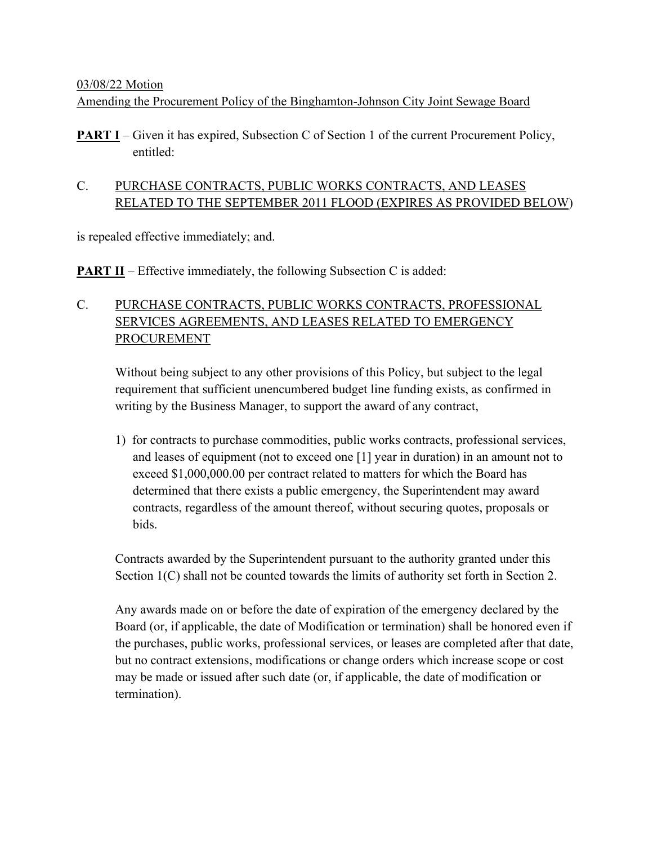#### 03/08/22 Motion

Amending the Procurement Policy of the Binghamton-Johnson City Joint Sewage Board

**PART I** – Given it has expired, Subsection C of Section 1 of the current Procurement Policy, entitled:

# C. PURCHASE CONTRACTS, PUBLIC WORKS CONTRACTS, AND LEASES RELATED TO THE SEPTEMBER 2011 FLOOD (EXPIRES AS PROVIDED BELOW)

is repealed effective immediately; and.

**PART II** – Effective immediately, the following Subsection C is added:

# C. PURCHASE CONTRACTS, PUBLIC WORKS CONTRACTS, PROFESSIONAL SERVICES AGREEMENTS, AND LEASES RELATED TO EMERGENCY PROCUREMENT

 Without being subject to any other provisions of this Policy, but subject to the legal requirement that sufficient unencumbered budget line funding exists, as confirmed in writing by the Business Manager, to support the award of any contract,

1) for contracts to purchase commodities, public works contracts, professional services, and leases of equipment (not to exceed one [1] year in duration) in an amount not to exceed \$1,000,000.00 per contract related to matters for which the Board has determined that there exists a public emergency, the Superintendent may award contracts, regardless of the amount thereof, without securing quotes, proposals or bids.

Contracts awarded by the Superintendent pursuant to the authority granted under this Section 1(C) shall not be counted towards the limits of authority set forth in Section 2.

Any awards made on or before the date of expiration of the emergency declared by the Board (or, if applicable, the date of Modification or termination) shall be honored even if the purchases, public works, professional services, or leases are completed after that date, but no contract extensions, modifications or change orders which increase scope or cost may be made or issued after such date (or, if applicable, the date of modification or termination).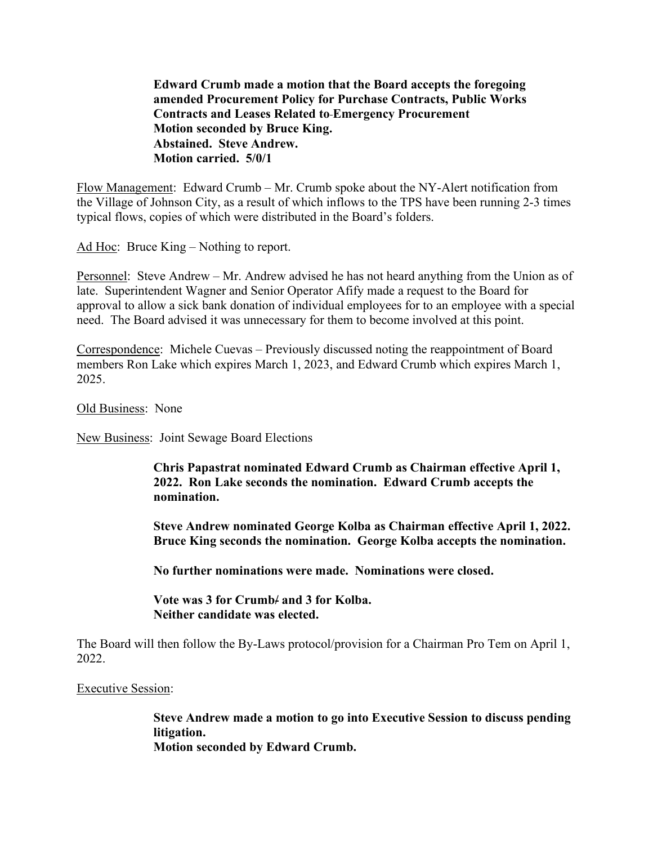**Edward Crumb made a motion that the Board accepts the foregoing amended Procurement Policy for Purchase Contracts, Public Works Contracts and Leases Related to Emergency Procurement Motion seconded by Bruce King. Abstained. Steve Andrew. Motion carried. 5/0/1**

Flow Management: Edward Crumb – Mr. Crumb spoke about the NY-Alert notification from the Village of Johnson City, as a result of which inflows to the TPS have been running 2-3 times typical flows, copies of which were distributed in the Board's folders.

Ad Hoc: Bruce King – Nothing to report.

Personnel: Steve Andrew – Mr. Andrew advised he has not heard anything from the Union as of late. Superintendent Wagner and Senior Operator Afify made a request to the Board for approval to allow a sick bank donation of individual employees for to an employee with a special need. The Board advised it was unnecessary for them to become involved at this point.

Correspondence: Michele Cuevas – Previously discussed noting the reappointment of Board members Ron Lake which expires March 1, 2023, and Edward Crumb which expires March 1, 2025.

Old Business: None

New Business: Joint Sewage Board Elections

**Chris Papastrat nominated Edward Crumb as Chairman effective April 1, 2022. Ron Lake seconds the nomination. Edward Crumb accepts the nomination.** 

**Steve Andrew nominated George Kolba as Chairman effective April 1, 2022. Bruce King seconds the nomination. George Kolba accepts the nomination.** 

**No further nominations were made. Nominations were closed.**

**Vote was 3 for Crumb/ and 3 for Kolba. Neither candidate was elected.**

The Board will then follow the By-Laws protocol/provision for a Chairman Pro Tem on April 1, 2022.

#### Executive Session:

**Steve Andrew made a motion to go into Executive Session to discuss pending litigation. Motion seconded by Edward Crumb.**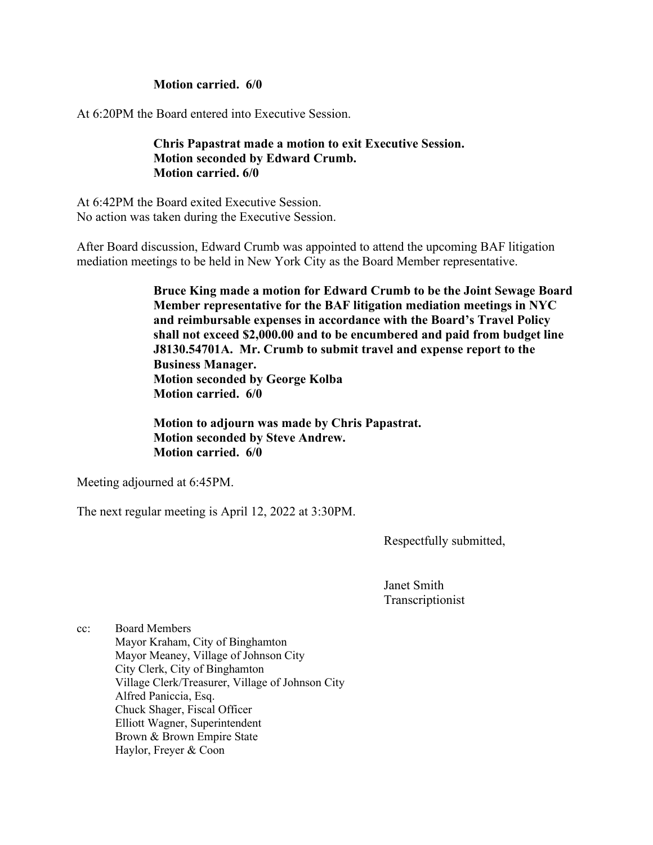#### **Motion carried. 6/0**

At 6:20PM the Board entered into Executive Session.

**Chris Papastrat made a motion to exit Executive Session. Motion seconded by Edward Crumb. Motion carried. 6/0** 

At 6:42PM the Board exited Executive Session. No action was taken during the Executive Session.

After Board discussion, Edward Crumb was appointed to attend the upcoming BAF litigation mediation meetings to be held in New York City as the Board Member representative.

> **Bruce King made a motion for Edward Crumb to be the Joint Sewage Board Member representative for the BAF litigation mediation meetings in NYC and reimbursable expenses in accordance with the Board's Travel Policy shall not exceed \$2,000.00 and to be encumbered and paid from budget line J8130.54701A. Mr. Crumb to submit travel and expense report to the Business Manager. Motion seconded by George Kolba Motion carried. 6/0**

**Motion to adjourn was made by Chris Papastrat. Motion seconded by Steve Andrew. Motion carried. 6/0** 

Meeting adjourned at 6:45PM.

The next regular meeting is April 12, 2022 at 3:30PM.

Respectfully submitted,

Janet Smith Transcriptionist

cc: Board Members Mayor Kraham, City of Binghamton Mayor Meaney, Village of Johnson City City Clerk, City of Binghamton Village Clerk/Treasurer, Village of Johnson City Alfred Paniccia, Esq. Chuck Shager, Fiscal Officer Elliott Wagner, Superintendent Brown & Brown Empire State Haylor, Freyer & Coon